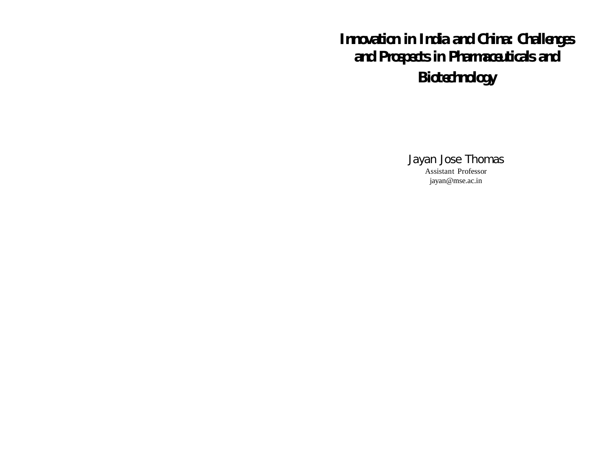# *Innovation in India and China: Challenges and Prospects in Pharmaceuticals and Biotechnology*

Jayan Jose Thomas Assistant Professor jayan@mse.ac.in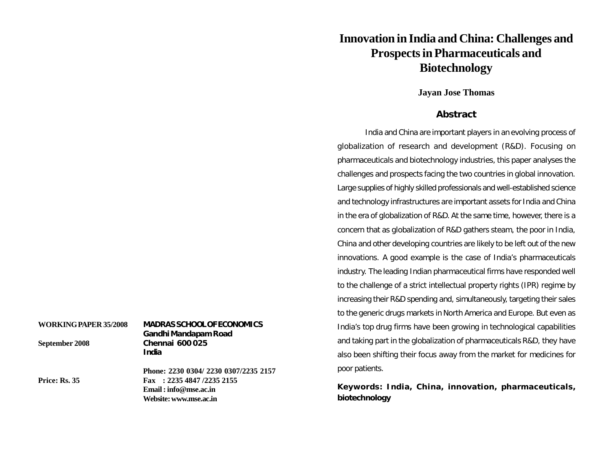# **Innovation in India and China: Challenges and ProspectsinPharmaceuticals and Biotechnology**

### **Jayan Jose Thomas**

### **Abstract**

*India and China are important players in an evolving process of globalization of research and development (R&D). Focusing on pharmaceuticals and biotechnology industries, this paper analyses the challenges and prospects facing the two countries in global innovation. Large supplies of highly skilled professionals and well-established science and technology infrastructures are important assets for India and China in the era of globalization of R&D. At the same time, however, there is a concern that as globalization of R&D gathers steam, the poor in India, China and other developing countries are likely to be left out of the new innovations. A good example is the case of India's pharmaceuticals industry. The leading Indian pharmaceutical firms have responded well to the challenge of a strict intellectual property rights (IPR) regime by increasing their R&D spending and, simultaneously, targeting their sales to the generic drugs markets in North America and Europe. But even as India's top drug firms have been growing in technological capabilities and taking part in the globalization of pharmaceuticals R&D, they have also been shifting their focus away from the market for medicines for poor patients.*

**Keywords: India, China, innovation, pharmaceuticals, biotechnology**

| <b>MADRAS SCHOOL OF ECONOMICS</b><br>Gandhi Mandapam Road |
|-----------------------------------------------------------|
| <b>Chennai 600025</b>                                     |
| India                                                     |
| Phone: 2230 0304/ 2230 0307/2235 2157                     |
| Fax: $2235\,4847\,$ /2235 2155                            |
| $E$ mail : info@mse.ac.in                                 |
|                                                           |

**Website:www.mse.ac.in**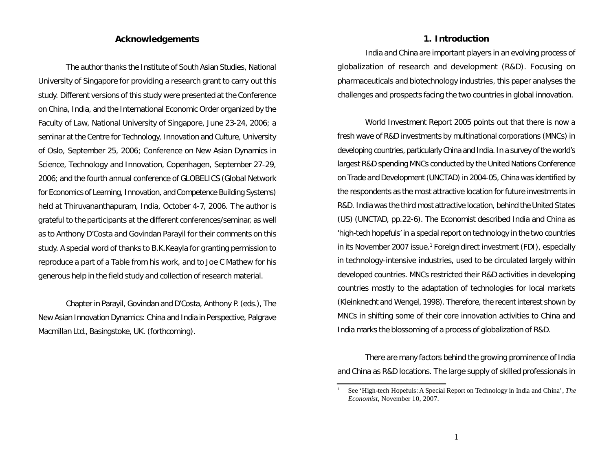### **Acknowledgements**

*The author thanks the Institute of South Asian Studies, National University of Singapore for providing a research grant to carry out this study. Different versions of this study were presented at the Conference on China, India, and the International Economic Order organized by the Faculty of Law, National University of Singapore, June 23-24, 2006; a seminar at the Centre for Technology, Innovation and Culture, University of Oslo, September 25, 2006; Conference on New Asian Dynamics in Science, Technology and Innovation, Copenhagen, September 27-29, 2006; and the fourth annual conference of GLOBELICS (Global Network for Economics of Learning, Innovation, and Competence Building Systems) held at Thiruvananthapuram, India, October 4-7, 2006. The author is grateful to the participants at the different conferences/seminar, as well as to Anthony D'Costa and Govindan Parayil for their comments on this study. A special word of thanks to B.K.Keayla for granting permission to reproduce a part of a Table from his work, and to Joe C Mathew for his generous help in the field study and collection of research material.*

Chapter in Parayil, Govindan and D'Costa, Anthony P. (eds.), *The New Asian Innovation Dynamics: China and India in Perspective,* Palgrave Macmillan Ltd., Basingstoke, UK. (forthcoming).

#### **1. Introduction**

India and China are important players in an evolving process of globalization of research and development (R&D). Focusing on pharmaceuticals and biotechnology industries, this paper analyses the challenges and prospects facing the two countries in global innovation.

*World Investment Report 2005* points out that there is now a fresh wave of R&D investments by multinational corporations (MNCs) in developing countries, particularly China and India. In a survey of the world's largest R&D spending MNCs conducted by the United Nations Conference on Trade and Development (UNCTAD) in 2004-05, China was identified by the respondents as the most attractive location for future investments in R&D. India was the third most attractive location, behind the United States (US) (UNCTAD, pp.22-6). The *Economist* described India and China as 'high-tech hopefuls' in a special report on technology in the two countries in its November 2007 issue. <sup>1</sup> Foreign direct investment (FDI), especially in technology-intensive industries, used to be circulated largely within developed countries. MNCs restricted their R&D activities in developing countries mostly to the adaptation of technologies for local markets (Kleinknecht and Wengel, 1998). Therefore, the recentinterest shown by MNCs in shifting some of their core innovation activities to China and India marks the blossoming of a process of globalization of R&D.

There are many factors behind the growing prominence of India and China as R&D locations. The large supply of skilled professionals in

<sup>1</sup> See 'High-tech Hopefuls: A Special Report on Technology in India and China', *The Economist*, November 10, 2007.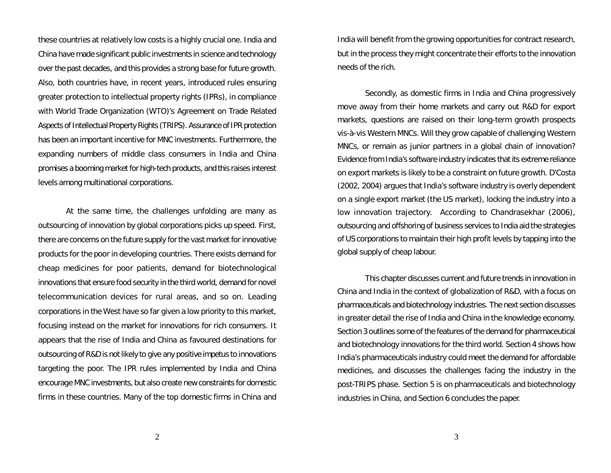these countries at relatively low costs is a highly crucial one. India and China have made significant public investments in science and technology over the past decades, and this provides a strong base for future growth. Also, both countries have, in recent years, introduced rules ensuring greater protection to intellectual property rights (IPRs), in compliance with World Trade Organization (WTO)'s Agreement on Trade Related Aspects of Intellectual Property Rights (TRIPS). Assurance of IPR protection has been an important incentive for MNC investments. Furthermore, the expanding numbers of middle class consumers in India and China promises a booming market for high-tech products, and this raises interest levels among multinational corporations.

At the same time, the challenges unfolding are many as outsourcing of innovation by global corporations picks up speed. First, there are concerns on the future supply for the vast market for innovative products for the poor in developing countries. There exists demand for cheap medicines for poor patients, demand for biotechnological innovations that ensure food security in the third world, demand for novel telecommunication devices for rural areas, and so on. Leading corporations in the West have so far given a low priority to this market, focusing instead on the market for innovations for rich consumers. It appears that the rise of India and China as favoured destinations for outsourcing of R&D is not likely to give any positive impetus to innovations targeting the poor. The IPR rules implemented by India and China encourage MNC investments, but also create new constraints for domestic firms in these countries. Many of the top domestic firms in China and India will benefit from the growing opportunities for contract research, but in the process they might concentrate their efforts to the innovation needs of the rich.

Secondly, as domestic firms in India and China progressively move away from their home markets and carry out R&D for export markets, questions are raised on their long-term growth prospects vis-à-vis Western MNCs. Will they grow capable of challenging Western MNCs, or remain as junior partners in a global chain of innovation? Evidence from India's software industry indicates that its extreme reliance on export markets is likely to be a constraint on future growth. D'Costa (2002, 2004) argues that India's software industry is overly dependent on a single export market (the US market), locking the industry into a low innovation trajectory. According to Chandrasekhar (2006), outsourcing and offshoring of business services to India aid the strategies of US corporations to maintain their high profit levels by tapping into the global supply of cheap labour.

This chapter discusses current and future trends in innovation in China and India in the context of globalization of R&D, with a focus on pharmaceuticals and biotechnology industries. The next section discusses in greater detail the rise of India and China in the knowledge economy. Section 3 outlines some of the features of the demand for pharmaceutical and biotechnology innovations for the third world. Section 4 shows how India's pharmaceuticals industry could meet the demand for affordable medicines, and discusses the challenges facing the industry in the post-TRIPS phase. Section 5 is on pharmaceuticals and biotechnology industries in China, and Section 6 concludes the paper.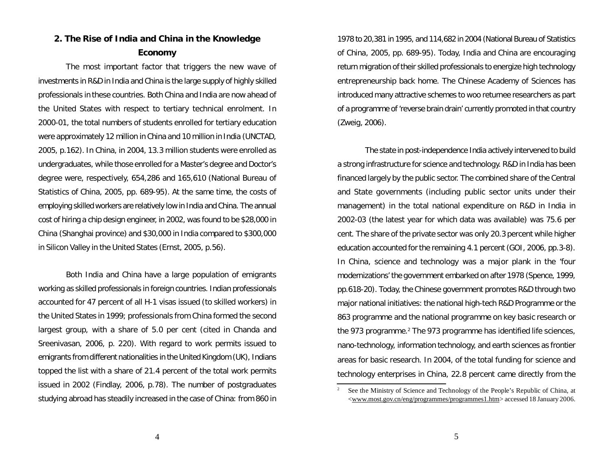# **2. The Rise of India and China in the Knowledge Economy**

The most important factor that triggers the new wave of investments in R&D in India and China is the large supply of highly skilled professionals in these countries. Both China and India are now ahead of the United States with respect to tertiary technical enrolment. In 2000-01, the total numbers of students enrolled for tertiary education were approximately 12 million in China and 10 million in India (UNCTAD, 2005, p.162). In China, in 2004, 13.3 million students were enrolled as undergraduates, while those enrolled for a Master's degree and Doctor's degree were, respectively, 654,286 and 165,610 (National Bureau of Statistics of China, 2005, pp. 689-95). At the same time, the costs of employing skilled workers are relatively low in India and China. The annual cost of hiring a chip design engineer, in 2002, was found to be \$28,000 in China (Shanghai province) and \$30,000 in India compared to \$300,000 in Silicon Valley in the United States (Ernst, 2005, p.56).

Both India and China have a large population of emigrants working as skilled professionals in foreign countries. Indian professionals accounted for 47 percent of all H-1 visas issued (to skilled workers) in the United States in 1999; professionals from China formed the second largest group, with a share of 5.0 per cent (cited in Chanda and Sreenivasan, 2006, p. 220). With regard to work permits issued to emigrants from different nationalities in the United Kingdom (UK), Indians topped the list with a share of 21.4 percent of the total work permits issued in 2002 (Findlay, 2006, p.78). The number of postgraduates studying abroad has steadily increased in the case of China: from 860 in 1978 to 20,381 in 1995, and 114,682 in 2004 (National Bureau of Statistics of China, 2005, pp. 689-95). Today, India and China are encouraging return migration of their skilled professionals to energize high technology entrepreneurship back home. The Chinese Academy of Sciences has introduced many attractive schemes to woo returnee researchers as part of a programme of 'reverse brain drain' currently promoted in that country (Zweig, 2006).

The state in post-independence India actively intervened to build a strong infrastructure for science and technology. R&D in India has been financed largely by the public sector. The combined share of the Central and State governments (including public sector units under their management) in the total national expenditure on R&D in India in 2002-03 (the latest year for which data was available) was 75.6 per cent. The share of the private sector was only 20.3 percent while higher education accounted for the remaining 4.1 percent (GOI, 2006, pp.3-8). In China, science and technology was a major plank in the 'four modernizations' the government embarked on after 1978 (Spence, 1999, pp.618-20). Today, the Chinese government promotes R&D through two major national initiatives: the national high-tech R&D Programme or the 863 programme and the national programme on key basic research or the 973 programme. <sup>2</sup> The 973 programme has identified life sciences, nano-technology, information technology, and earth sciences as frontier areas for basic research. In 2004, of the total funding for science and technology enterprises in China, 22.8 percent came directly from the

<sup>&</sup>lt;sup>2</sup> See the Ministry of Science and Technology of the People's Republic of China, at <www.most.gov.cn/eng/programmes/programmes1.htm> accessed 18 January 2006.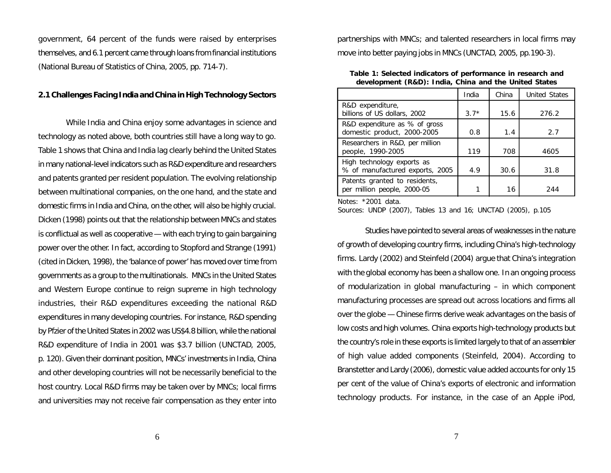government, 64 percent of the funds were raised by enterprises themselves, and 6.1 percent came through loans from financial institutions (National Bureau of Statistics of China, 2005, pp. 714-7).

#### **2.1Challenges FacingIndia andChina in High TechnologySectors**

While India and China enjoy some advantages in science and technology as noted above, both countries still have a long way to go. Table 1 shows that China and India lag clearly behind the United States in many national-level indicators such as R&D expenditure and researchers and patents granted per resident population. The evolving relationship between multinational companies, on the one hand, and the state and domestic firms in India and China, on the other, will also be highly crucial. Dicken (1998) points out that the relationship between MNCs and states is conflictual as well as cooperative — with each trying to gain bargaining power over the other. In fact, according to Stopford and Strange (1991) (cited in Dicken, 1998), the 'balance of power' has moved over time from governments as a group to the multinationals. MNCs in the United States and Western Europe continue to reign supreme in high technology industries, their R&D expenditures exceeding the national R&D expenditures in many developing countries. For instance, R&D spending by Pfzier of the United States in 2002 was US\$4.8 billion, while the national R&D expenditure of India in 2001 was \$3.7 billion (UNCTAD, 2005, p. 120). Given their dominant position, MNCs' investments in India, China and other developing countries will not be necessarily beneficial to the host country. Local R&D firms may be taken over by MNCs; local firms and universities may not receive fair compensation as they enter into partnerships with MNCs; and talented researchers in local firms may move into better paying jobs in MNCs (UNCTAD, 2005, pp.190-3).

**Table 1: Selected indicators of performance in research and development (R&D): India, China and the United States**

|                                                               | India  | China | <b>United States</b> |
|---------------------------------------------------------------|--------|-------|----------------------|
| R&D expenditure,<br>billions of US dollars, 2002              | $3.7*$ | 15.6  | 276.2                |
| R&D expenditure as % of gross<br>domestic product, 2000-2005  | 0.8    | 1.4   | 2.7                  |
| Researchers in R&D, per million<br>people, 1990-2005          | 119    | 708   | 4605                 |
| High technology exports as<br>% of manufactured exports, 2005 | 4.9    | 30.6  | 31.8                 |
| Patents granted to residents,<br>per million people, 2000-05  | 1      | 16    | 244                  |

*Notes:* \*2001 data.

*Sources:* UNDP (2007), Tables 13 and 16; UNCTAD (2005), p.105

Studies have pointed to several areas of weaknesses in the nature of growth of developing country firms, including China's high-technology firms. Lardy (2002) and Steinfeld (2004) argue that China's integration with the global economy has been a shallow one. In an ongoing process of modularization in global manufacturing – in which component manufacturing processes are spread out across locations and firms all over the globe — Chinese firms derive weak advantages on the basis of low costs and high volumes. China exports high-technology products but the country's role in these exports is limited largely to that of an assembler of high value added components (Steinfeld, 2004). According to Branstetter and Lardy (2006), domestic value added accounts for only 15 per cent of the value of China's exports of electronic and information technology products. For instance, in the case of an Apple iPod,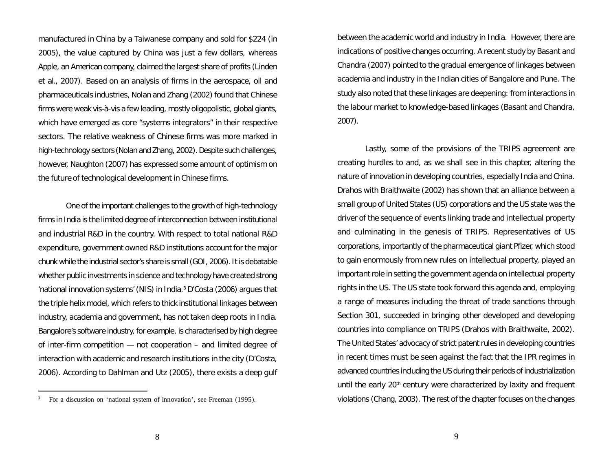manufactured in China by a Taiwanese company and sold for \$224 (in 2005), the value captured by China was just a few dollars, whereas Apple, an American company, claimed the largest share of profits (Linden et al., 2007). Based on an analysis of firms in the aerospace, oil and pharmaceuticals industries, Nolan and Zhang (2002) found that Chinese firms were weak vis-à-vis a few leading, mostly oligopolistic, global giants, which have emerged as core "systems integrators" in their respective sectors. The relative weakness of Chinese firms was more marked in high-technology sectors (Nolan and Zhang, 2002). Despite such challenges, however, Naughton (2007) has expressed some amount of optimism on the future of technological development in Chinese firms.

One of the important challenges to the growth of high-technology firms in India is the limited degree of interconnection between institutional and industrial R&D in the country. With respect to total national R&D expenditure, government owned R&D institutions account for the major chunk while the industrial sector's share is small (GOI, 2006). It is debatable whether public investments in science and technology have created strong 'national innovation systems' (NIS) in India. <sup>3</sup> D'Costa (2006) argues that the triple helix model, which refers to thick institutional linkages between industry, academia and government, has not taken deep roots in India. Bangalore's software industry, for example, is characterised by high degree of inter-firm competition — not cooperation – and limited degree of interaction with academic and research institutions in the city (D'Costa, 2006). According to Dahlman and Utz (2005), there exists a deep gulf

between the academic world and industry in India. However, there are indications of positive changes occurring. A recent study by Basant and Chandra (2007) pointed to the gradual emergence of linkages between academia and industry in the Indian cities of Bangalore and Pune. The study also noted that these linkages are deepening: from interactions in the labour market to knowledge-based linkages (Basant and Chandra, 2007).

Lastly, some of the provisions of the TRIPS agreement are creating hurdles to and, as we shall see in this chapter, altering the nature of innovation in developing countries, especially India and China. Drahos with Braithwaite (2002) has shown that an alliance between a small group of United States (US) corporations and the US state was the driver of the sequence of events linking trade and intellectual property and culminating in the genesis of TRIPS. Representatives of US corporations, importantly of the pharmaceutical giant Pfizer, which stood to gain enormously from new rules on intellectual property, played an important role in setting the government agenda on intellectual property rights in the US. The US state took forward this agenda and, employing a range of measures including the threat of trade sanctions through Section 301, succeeded in bringing other developed and developing countries into compliance on TRIPS (Drahos with Braithwaite, 2002). The United States' advocacy of strict patent rules in developing countries in recent times must be seen against the fact that the IPR regimes in advanced countries including the US during their periods of industrialization until the early 20<sup>th</sup> century were characterized by laxity and frequent violations (Chang, 2003). The rest of the chapter focuses on the changes

<sup>3</sup> For a discussion on 'national system of innovation', see Freeman (1995).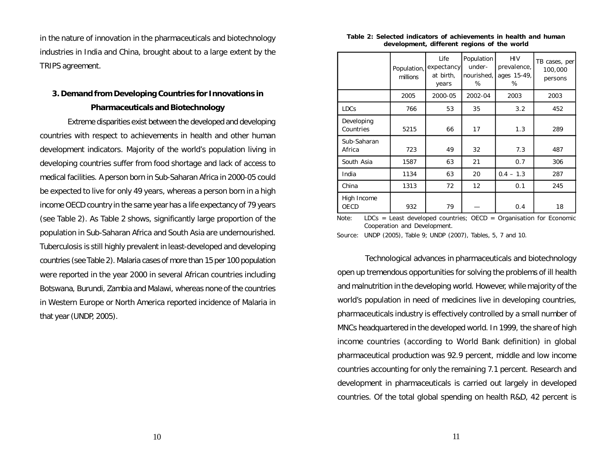in the nature of innovation in the pharmaceuticals and biotechnology industries in India and China, brought about to a large extent by the TRIPS agreement.

# **3. Demand from Developing Countries for Innovations in Pharmaceuticals and Biotechnology**

Extreme disparities exist between the developed and developing countries with respect to achievements in health and other human development indicators. Majority of the world's population living in developing countries suffer from food shortage and lack of access to medical facilities. A person born in Sub-Saharan Africa in 2000-05 could be expected to live for only 49 years, whereas a person born in a high income OECD country in the same year has a life expectancy of 79 years (see Table 2). As Table 2 shows, significantly large proportion of the population in Sub-Saharan Africa and South Asia are undernourished. Tuberculosis is still highly prevalent in least-developed and developing countries (see Table 2). Malaria cases of more than 15 per 100 population were reported in the year 2000 in several African countries including Botswana, Burundi, Zambia and Malawi, whereas none of the countries in Western Europe or North America reported incidence of Malaria in that year (UNDP, 2005).

#### **Table 2: Selected indicators of achievements in health and human development, different regions of the world**

|                         | Population,<br>millions | Life<br>expectancy<br>at birth,<br>years | Population<br>under-<br>nourished,<br>% | <b>HIV</b><br>prevalence,<br>ages 15-49,<br>% | TB cases, per<br>100,000<br>persons |
|-------------------------|-------------------------|------------------------------------------|-----------------------------------------|-----------------------------------------------|-------------------------------------|
|                         | 2005                    | 2000-05                                  | 2002-04                                 | 2003                                          | 2003                                |
| <b>LDCs</b>             | 766                     | 53                                       | 35                                      | 3.2                                           | 452                                 |
| Developing<br>Countries | 5215                    | 66                                       | 17                                      | 1.3                                           | 289                                 |
| Sub-Saharan<br>Africa   | 723                     | 49                                       | 32                                      | 7.3                                           | 487                                 |
| South Asia              | 1587                    | 63                                       | 21                                      | 0.7                                           | 306                                 |
| India                   | 1134                    | 63                                       | 20                                      | $0.4 - 1.3$                                   | 287                                 |
| China                   | 1313                    | 72                                       | 12                                      | 0.1                                           | 245                                 |
| High Income<br>OECD     | 932                     | 79                                       |                                         | 0.4                                           | 18                                  |

*Note:* LDCs = Least developed countries; OECD = Organisation for Economic Cooperation and Development.

*Source:* UNDP (2005), Table 9; UNDP (2007), Tables, 5, 7 and 10.

Technological advances in pharmaceuticals and biotechnology open up tremendous opportunities for solving the problems of ill health and malnutrition in the developing world. However, while majority of the world's population in need of medicines live in developing countries, pharmaceuticals industry is effectively controlled by a small number of MNCs headquartered in the developed world. In 1999, the share of high income countries (according to World Bank definition) in global pharmaceutical production was 92.9 percent, middle and low income countries accounting for only the remaining 7.1 percent. Research and development in pharmaceuticals is carried out largely in developed countries. Of the total global spending on health R&D, 42 percent is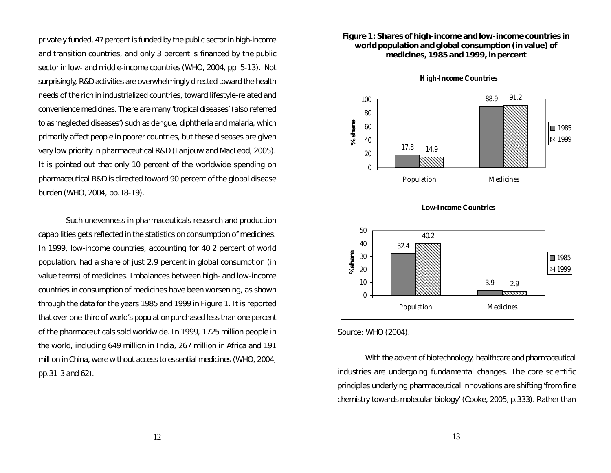privately funded, 47 percent is funded by the public sectorin high-income and transition countries, and only 3 percent is financed by the public sector in low- and middle-income countries (WHO, 2004, pp. 5-13). Not surprisingly, R&D activities are overwhelmingly directed toward the health needs of the rich in industrialized countries, toward lifestyle-related and convenience medicines. There are many 'tropical diseases' (also referred to as 'neglected diseases') such as dengue, diphtheria and malaria, which primarily affect people in poorer countries, but these diseases are given very low priority in pharmaceutical R&D (Lanjouw and MacLeod, 2005). It is pointed out that only 10 percent of the worldwide spending on pharmaceutical R&D is directed toward 90 percent of the global disease burden (WHO, 2004, pp.18-19).

Such unevenness in pharmaceuticals research and production capabilities gets reflected in the statistics on consumption of medicines. In 1999, low-income countries, accounting for 40.2 percent of world population, had a share of just 2.9 percent in global consumption (in value terms) of medicines. Imbalances between high- and low-income countries in consumption of medicines have been worsening, as shown through the data for the years 1985 and 1999 in Figure 1. It is reported that over one-third of world's population purchased less than one percent of the pharmaceuticals sold worldwide. In 1999, 1725 million people in the world, including 649 million in India, 267 million in Africa and 191 million in China, were without access to essential medicines (WHO, 2004, pp.31-3 and 62).

#### **Figure 1: Shares of high-income and low-income countries in world population and global consumption (in value) of medicines, 1985 and 1999, in percent**





*Source:* WHO (2004).

With the advent of biotechnology, healthcare and pharmaceutical industries are undergoing fundamental changes. The core scientific principles underlying pharmaceutical innovations are shifting 'from fine chemistry towards molecular biology' (Cooke, 2005, p.333). Rather than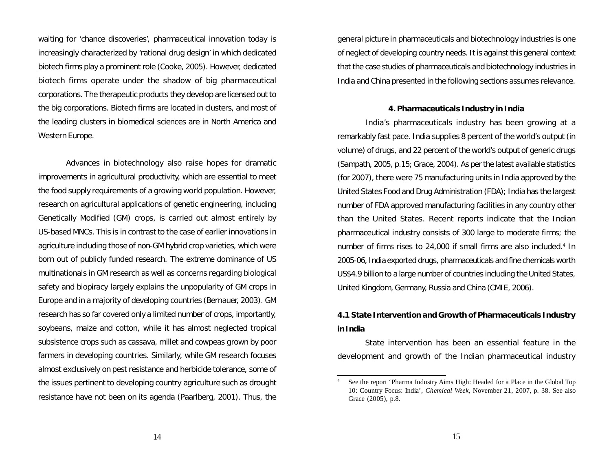waiting for 'chance discoveries', pharmaceutical innovation today is increasingly characterized by 'rational drug design' in which dedicated biotech firms play a prominent role (Cooke, 2005). However, dedicated biotech firms operate under the shadow of big pharmaceutical corporations. The therapeutic products they develop are licensed out to the big corporations. Biotech firms are located in clusters, and most of the leading clusters in biomedical sciences are in North America and Western Europe.

Advances in biotechnology also raise hopes for dramatic improvements in agricultural productivity, which are essential to meet the food supply requirements of a growing world population. However, research on agricultural applications of genetic engineering, including Genetically Modified (GM) crops, is carried out almost entirely by US-based MNCs. This is in contrast to the case of earlier innovations in agriculture including those of non-GM hybrid crop varieties, which were born out of publicly funded research. The extreme dominance of US multinationals in GM research as well as concerns regarding biological safety and biopiracy largely explains the unpopularity of GM crops in Europe and in a majority of developing countries (Bernauer, 2003). GM research has so far covered only a limited number of crops, importantly, soybeans, maize and cotton, while it has almost neglected tropical subsistence crops such as cassava, millet and cowpeas grown by poor farmers in developing countries. Similarly, while GM research focuses almost exclusively on pest resistance and herbicide tolerance, some of the issues pertinent to developing country agriculture such as drought resistance have not been on its agenda (Paarlberg, 2001). Thus, the general picture in pharmaceuticals and biotechnology industries is one of neglect of developing country needs. It is against this general context that the case studies of pharmaceuticals and biotechnology industries in India and China presented in the following sections assumes relevance.

#### **4. Pharmaceuticals Industry in India**

India's pharmaceuticals industry has been growing at a remarkably fast pace. India supplies 8 percent of the world's output (in volume) of drugs, and 22 percent of the world's output of generic drugs (Sampath, 2005, p.15; Grace, 2004). As per the latest available statistics (for 2007), there were 75 manufacturing units in India approved by the United States Food and Drug Administration (FDA); India has the largest number of FDA approved manufacturing facilities in any country other than the United States. Recent reports indicate that the Indian pharmaceutical industry consists of 300 large to moderate firms; the number of firms rises to 24,000 if small firms are also included. 4 In 2005-06, India exported drugs, pharmaceuticals and fine chemicals worth US\$4.9 billion to a large number of countries including the United States, United Kingdom, Germany, Russia and China (CMIE, 2006).

# **4.1 State Intervention and Growth of Pharmaceuticals Industry inIndia**

State intervention has been an essential feature in the development and growth of the Indian pharmaceutical industry

See the report 'Pharma Industry Aims High: Headed for a Place in the Global Top 10: Country Focus: India', *Chemical Week*, November 21, 2007, p. 38. See also Grace (2005), p.8.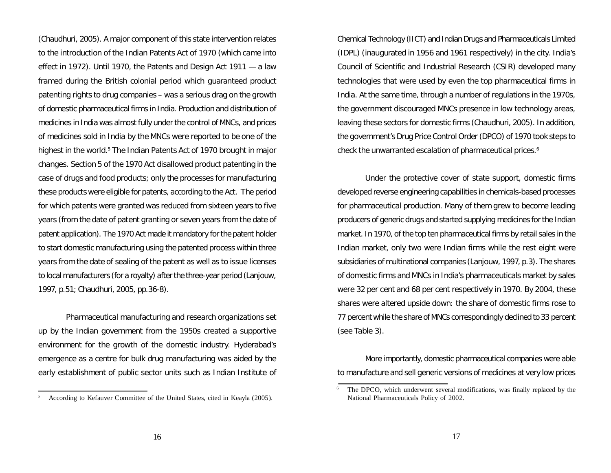(Chaudhuri, 2005). A major component of this state intervention relates to the introduction of the Indian Patents Act of 1970 (which came into effect in 1972). Until 1970, the Patents and Design Act 1911 — a law framed during the British colonial period which guaranteed product patenting rights to drug companies – was a serious drag on the growth of domestic pharmaceutical firms in India. Production and distribution of medicines in India was almost fully under the control of MNCs, and prices of medicines sold in India by the MNCs were reported to be one of the highest in the world. <sup>5</sup> The Indian Patents Act of 1970 brought in major changes. Section 5 of the 1970 Act disallowed product patenting in the case of drugs and food products; only the processes for manufacturing these products were eligible for patents, according to the Act. The period for which patents were granted was reduced from sixteen years to five years (from the date of patent granting or seven years from the date of patent application). The 1970 Act made it mandatory for the patent holder to start domestic manufacturing using the patented process within three years from the date of sealing of the patent as well as to issue licenses to local manufacturers (for a royalty) after the three-year period (Lanjouw, 1997, p.51; Chaudhuri, 2005, pp.36-8).

Pharmaceutical manufacturing and research organizations set up by the Indian government from the 1950s created a supportive environment for the growth of the domestic industry. Hyderabad's emergence as a centre for bulk drug manufacturing was aided by the early establishment of public sector units such as Indian Institute of Chemical Technology (IICT) and Indian Drugs and Pharmaceuticals Limited (IDPL) (inaugurated in 1956 and 1961 respectively) in the city. India's Council of Scientific and Industrial Research (CSIR) developed many technologies that were used by even the top pharmaceutical firms in India. At the same time, through a number of regulations in the 1970s, the government discouraged MNCs presence in low technology areas, leaving these sectors for domestic firms (Chaudhuri, 2005). In addition, the government's Drug Price Control Order (DPCO) of 1970 took steps to check the unwarranted escalation of pharmaceutical prices. 6

Under the protective cover of state support, domestic firms developed reverse engineering capabilities in chemicals-based processes for pharmaceutical production. Many of them grew to become leading producers of generic drugs and started supplying medicines for the Indian market. In 1970, of the top ten pharmaceutical firms by retail sales in the Indian market, only two were Indian firms while the rest eight were subsidiaries of multinational companies (Lanjouw, 1997, p.3). The shares of domestic firms and MNCs in India's pharmaceuticals market by sales were 32 per cent and 68 per cent respectively in 1970. By 2004, these shares were altered upside down: the share of domestic firms rose to 77 percent while the share of MNCs correspondingly declined to 33 percent (see Table 3).

More importantly, domestic pharmaceutical companies were able to manufacture and sell generic versions of medicines at very low prices

<sup>5</sup> According to Kefauver Committee of the United States, cited in Keayla (2005).

The DPCO, which underwent several modifications, was finally replaced by the National Pharmaceuticals Policy of 2002.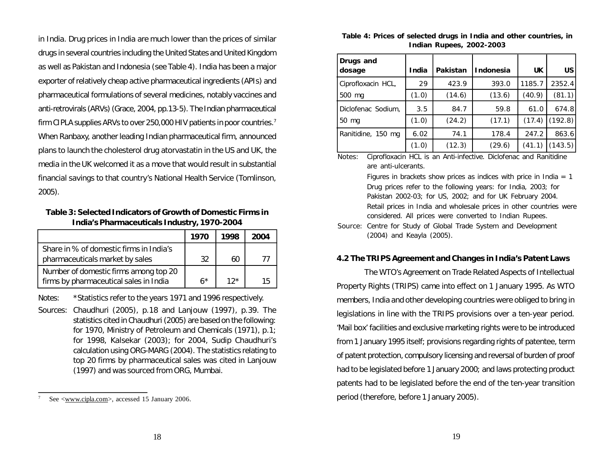in India. Drug prices in India are much lower than the prices of similar drugs in several countries including the United States and United Kingdom as well as Pakistan and Indonesia (see Table 4). India has been a major exporter of relatively cheap active pharmaceutical ingredients (APIs) and pharmaceutical formulations of several medicines, notably vaccines and anti-retrovirals (ARVs)(Grace, 2004, pp.13-5). The Indian pharmaceutical firm CIPLA supplies ARVs to over 250,000 HIV patients in poor countries.<sup>7</sup> When Ranbaxy, another leading Indian pharmaceutical firm, announced plans to launch the cholesterol drug atorvastatin in the US and UK, the media in the UK welcomed it as a move that would result in substantial financial savings to that country's National Health Service (Tomlinson, 2005).

**Table 3: Selected Indicators of Growth of Domestic Firms in India's Pharmaceuticals Industry, 1970-2004**

|                                                                                 | 1970 | 1998  | 2004 |
|---------------------------------------------------------------------------------|------|-------|------|
| Share in % of domestic firms in India's<br>pharmaceuticals market by sales      | 32   | 60    |      |
| Number of domestic firms among top 20<br>firms by pharmaceutical sales in India | $6*$ | $12*$ |      |

*Notes: \**Statistics refer to the years 1971 and 1996 respectively.

*Sources:* Chaudhuri (2005), p.18 and Lanjouw (1997), p.39. The statistics cited in Chaudhuri (2005) are based on the following: for 1970, Ministry of Petroleum and Chemicals (1971), p.1; for 1998, Kalsekar (2003); for 2004, Sudip Chaudhuri's calculation using ORG-MARG (2004). The statistics relating to top 20 firms by pharmaceutical sales was cited in Lanjouw (1997) and was sourced from ORG, Mumbai.

| Table 4: Prices of selected drugs in India and other countries, in |  |
|--------------------------------------------------------------------|--|
| Indian Rupees, 2002-2003                                           |  |

| Drugs and<br>dosage | India | Pakistan | Indonesia | <b>UK</b> | US      |
|---------------------|-------|----------|-----------|-----------|---------|
| Ciprofloxacin HCL,  | 29    | 423.9    | 393.0     | 1185.7    | 2352.4  |
| 500 mg              | (1.0) | (14.6)   | (13.6)    | (40.9)    | (81.1)  |
| Diclofenac Sodium,  | 3.5   | 84.7     | 59.8      | 61.0      | 674.8   |
| 50 mg               | (1.0) | (24.2)   | (17.1)    | (17.4)    | (192.8) |
| Ranitidine, 150 mg  | 6.02  | 74.1     | 178.4     | 247.2     | 863.6   |
|                     | (1.0) | (12.3)   | (29.6)    | (41.1)    | (143.5) |

*Notes:* Ciprofloxacin HCL is an Anti-infective. Diclofenac and Ranitidine are anti-ulcerants.

> Figures in brackets show prices as indices with price in India  $= 1$ Drug prices refer to the following years: for India, 2003; for Pakistan 2002-03; for US, 2002; and for UK February 2004. Retail prices in India and wholesale prices in other countries were considered. All prices were converted to Indian Rupees.

*Source:* Centre for Study of Global Trade System and Development (2004) and Keayla (2005).

#### **4.2 The TRIPS Agreement and Changes in India's Patent Laws**

The WTO's Agreement on Trade Related Aspects of Intellectual Property Rights (TRIPS) came into effect on 1 January 1995. As WTO members, India and other developing countries were obliged to bring in legislations in line with the TRIPS provisions over a ten-year period. 'Mail box' facilities and exclusive marketing rights were to be introduced from 1 January 1995 itself; provisions regarding rights of patentee, term of patent protection, compulsory licensing and reversal of burden of proof had to be legislated before 1 January 2000; and laws protecting product patents had to be legislated before the end of the ten-year transition period (therefore, before 1 January 2005).

See <www.cipla.com>, accessed 15 January 2006.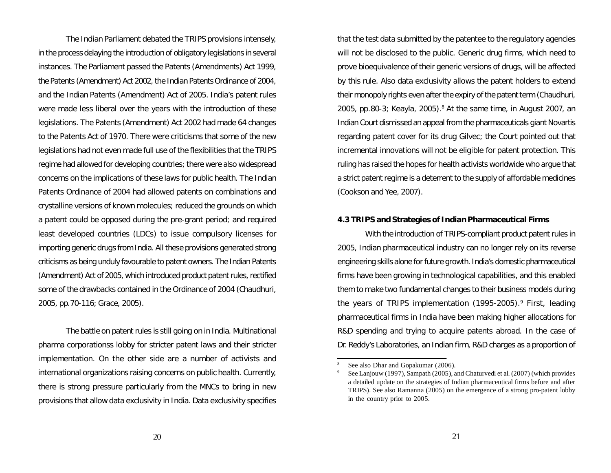The Indian Parliament debated the TRIPS provisions intensely, in the process delaying the introduction of obligatory legislations in several instances. The Parliament passed the Patents (Amendments) Act 1999, the Patents (Amendment) Act 2002, the Indian Patents Ordinance of 2004, and the Indian Patents (Amendment) Act of 2005. India's patent rules were made less liberal over the years with the introduction of these legislations. The Patents (Amendment) Act 2002 had made 64 changes to the Patents Act of 1970. There were criticisms that some of the new legislations had not even made full use of the flexibilities that the TRIPS regime had allowed for developing countries; there were also widespread concerns on the implications of these laws for public health. The Indian Patents Ordinance of 2004 had allowed patents on combinations and crystalline versions of known molecules; reduced the grounds on which a patent could be opposed during the pre-grant period; and required least developed countries (LDCs) to issue compulsory licenses for importing generic drugs from India. All these provisions generated strong criticisms as being unduly favourable to patent owners. The Indian Patents (Amendment) Act of 2005, which introduced product patent rules, rectified some of the drawbacks contained in the Ordinance of 2004 (Chaudhuri, 2005, pp.70-116; Grace, 2005).

The battle on patent rules is still going on in India. Multinational pharma corporationss lobby for stricter patent laws and their stricter implementation. On the other side are a number of activists and international organizations raising concerns on public health. Currently, there is strong pressure particularly from the MNCs to bring in new provisions that allow data exclusivity in India. Data exclusivity specifies that the test data submitted by the patentee to the regulatory agencies will not be disclosed to the public. Generic drug firms, which need to prove bioequivalence of their generic versions of drugs, will be affected by this rule. Also data exclusivity allows the patent holders to extend their monopoly rights even after the expiry of the patent term (Chaudhuri, 2005, pp.80-3; Keayla, 2005). <sup>8</sup> At the same time, in August 2007, an Indian Court dismissed an appeal from the pharmaceuticals giant Novartis regarding patent cover for its drug Gilvec; the Court pointed out that incremental innovations will not be eligible for patent protection. This ruling has raised the hopes for health activists worldwide who argue that a strict patent regime is a deterrent to the supply of affordable medicines (Cookson and Yee, 2007).

#### **4.3 TRIPS and Strategies of Indian Pharmaceutical Firms**

With the introduction of TRIPS-compliant product patent rules in 2005, Indian pharmaceutical industry can no longer rely on its reverse engineering skills alone for future growth. India's domestic pharmaceutical firms have been growing in technological capabilities, and this enabled them to make two fundamental changes to their business models during the years of TRIPS implementation (1995-2005). <sup>9</sup> First, leading pharmaceutical firms in India have been making higher allocations for R&D spending and trying to acquire patents abroad. In the case of Dr. Reddy's Laboratories, an Indian firm, R&D charges as a proportion of

See also Dhar and Gopakumar (2006).

See Lanjouw (1997), Sampath (2005), and Chaturvedi et al. (2007) (which provides a detailed update on the strategies of Indian pharmaceutical firms before and after TRIPS). See also Ramanna (2005) on the emergence of a strong pro-patent lobby in the country prior to 2005.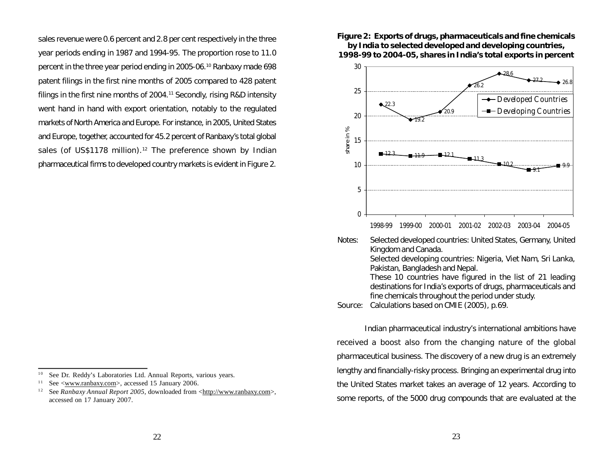sales revenue were 0.6 percent and 2.8 per cent respectively in the three year periods ending in 1987 and 1994-95. The proportion rose to 11.0 percent in the three year period ending in 2005-06. <sup>10</sup> Ranbaxy made 698 patent filings in the first nine months of 2005 compared to 428 patent filings in the first nine months of 2004. <sup>11</sup> Secondly, rising R&D intensity went hand in hand with export orientation, notably to the regulated markets of North America and Europe. For instance, in 2005, United States and Europe, together, accounted for 45.2 percent of Ranbaxy's total global sales (of US\$1178 million).<sup>12</sup> The preference shown by Indian pharmaceutical firms to developed country markets is evident in Figure 2. *Figure 2:* **Exports of drugs, pharmaceuticals and fine chemicals by India to selected developed and developing countries, 1998-99 to 2004-05, shares in India's total exports in percent**



1998-99 1999-00 2000-01 2001-02 2002-03 2003-04 2004-05

*Notes:* Selected developed countries: United States, Germany, United Kingdom and Canada. Selected developing countries: Nigeria, Viet Nam, Sri Lanka, Pakistan, Bangladesh and Nepal. These 10 countries have figured in the list of 21 leading destinations for India's exports of drugs, pharmaceuticals and fine chemicals throughout the period under study.

*Source:* Calculations based on CMIE (2005), p.69.

Indian pharmaceutical industry's international ambitions have received a boost also from the changing nature of the global pharmaceutical business. The discovery of a new drug is an extremely lengthy and financially-risky process. Bringing an experimental drug into the United States market takes an average of 12 years. According to some reports, of the 5000 drug compounds that are evaluated at the

<sup>&</sup>lt;sup>10</sup> See Dr. Reddy's Laboratories Ltd. Annual Reports, various years.

<sup>&</sup>lt;sup>11</sup> See <www.ranbaxy.com>, accessed 15 January 2006.

<sup>&</sup>lt;sup>12</sup> See *Ranbaxy Annual Report 2005*, downloaded from <http://www.ranbaxy.com>, accessed on 17 January 2007.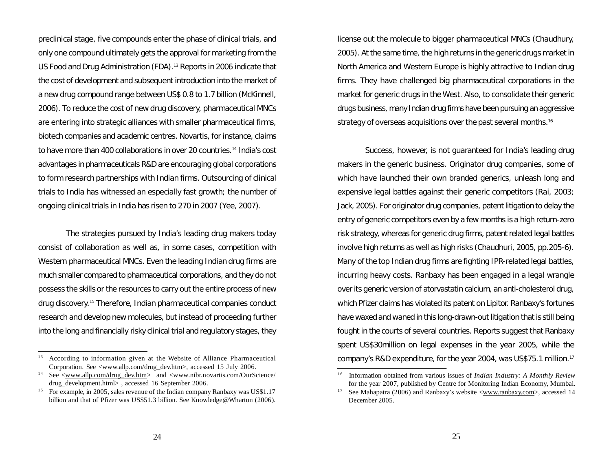preclinical stage, five compounds enter the phase of clinical trials, and only one compound ultimately gets the approval for marketing from the US Food and Drug Administration (FDA). <sup>13</sup> Reports in 2006 indicate that the cost of development and subsequent introduction into the market of a new drug compound range between US\$ 0.8 to 1.7 billion (McKinnell, 2006). To reduce the cost of new drug discovery, pharmaceutical MNCs are entering into strategic alliances with smaller pharmaceutical firms, biotech companies and academic centres. Novartis, for instance, claims to have more than 400 collaborations in over 20 countries. 14 India's cost advantages in pharmaceuticals R&D are encouraging global corporations to form research partnerships with Indian firms. Outsourcing of clinical trials to India has witnessed an especially fast growth; the number of ongoing clinical trials in India has risen to 270 in 2007 (Yee, 2007).

The strategies pursued by India's leading drug makers today consist of collaboration as well as, in some cases, competition with Western pharmaceutical MNCs. Even the leading Indian drug firms are much smaller compared to pharmaceutical corporations, and they do not possess the skills or the resources to carry out the entire process of new drug discovery. <sup>15</sup> Therefore, Indian pharmaceutical companies conduct research and develop new molecules, but instead of proceeding further into the long and financially risky clinical trial and regulatory stages, they license out the molecule to bigger pharmaceutical MNCs (Chaudhury, 2005). At the same time, the high returns in the generic drugs market in North America and Western Europe is highly attractive to Indian drug firms. They have challenged big pharmaceutical corporations in the market for generic drugs in the West. Also, to consolidate their generic drugs business, many Indian drug firms have been pursuing an aggressive strategy of overseas acquisitions over the past several months. 16

Success, however, is not guaranteed for India's leading drug makers in the generic business. Originator drug companies, some of which have launched their own branded generics, unleash long and expensive legal battles against their generic competitors (Rai, 2003; Jack, 2005). For originator drug companies, patent litigation to delay the entry of generic competitors even by a few months is a high return-zero risk strategy, whereas for generic drug firms, patent related legal battles involve high returns as well as high risks (Chaudhuri, 2005, pp.205-6). Many of the top Indian drug firms are fighting IPR-related legal battles, incurring heavy costs. Ranbaxy has been engaged in a legal wrangle over its generic version of atorvastatin calcium, an anti-cholesterol drug, which Pfizer claims has violated its patent on Lipitor. Ranbaxy's fortunes have waxed and waned in this long-drawn-out litigation that is still being fought in the courts of several countries. Reports suggest that Ranbaxy spent US\$30million on legal expenses in the year 2005, while the

<sup>&</sup>lt;sup>13</sup> According to information given at the Website of Alliance Pharmaceutical company's R&D expenditure, for the year 2004, was US\$75.1 million.<sup>17</sup> Corporation. See <www.allp.com/drug\_dev.htm>, accessed 15 July 2006.

<sup>&</sup>lt;sup>14</sup> See  $\langle$ www.allp.com/drug\_dev.htm> and  $\langle$ www.nibr.novartis.com/OurScience/ drug\_development.html> , accessed 16 September 2006.

For example, in 2005, sales revenue of the Indian company Ranbaxy was US\$1.17 billion and that of Pfizer was US\$51.3 billion. See Knowledge@Wharton (2006).

<sup>&</sup>lt;sup>16</sup> Information obtained from various issues of *Indian Industry: A Monthly Review* for the year 2007, published by Centre for Monitoring Indian Economy, Mumbai.

<sup>&</sup>lt;sup>17</sup> See Mahapatra (2006) and Ranbaxy's website  $\langle$ www.ranbaxy.com>, accessed 14 December 2005.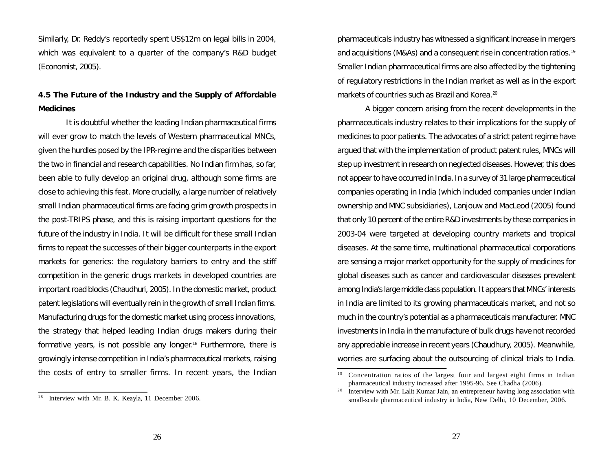Similarly, Dr. Reddy's reportedly spent US\$12m on legal bills in 2004, which was equivalent to a quarter of the company's R&D budget (Economist, 2005).

# **4.5 The Future of the Industry and the Supply of Affordable Medicines**

It is doubtful whether the leading Indian pharmaceutical firms will ever grow to match the levels of Western pharmaceutical MNCs, given the hurdles posed by the IPR-regime and the disparities between the two in financial and research capabilities. No Indian firm has, so far, been able to fully develop an original drug, although some firms are close to achieving this feat. More crucially, a large number of relatively small Indian pharmaceutical firms are facing grim growth prospects in the post-TRIPS phase, and this is raising important questions for the future of the industry in India. It will be difficult for these small Indian firms to repeat the successes of their bigger counterparts in the export markets for generics: the regulatory barriers to entry and the stiff competition in the generic drugs markets in developed countries are important road blocks (Chaudhuri, 2005). In the domestic market, product patent legislations will eventually rein in the growth of small Indian firms. Manufacturing drugs for the domestic market using process innovations, the strategy that helped leading Indian drugs makers during their formative years, is not possible any longer. <sup>18</sup> Furthermore, there is growingly intense competition in India's pharmaceutical markets, raising the costs of entry to smaller firms. In recent years, the Indian

pharmaceuticals industry has witnessed a significant increase in mergers and acquisitions (M&As) and a consequent rise in concentration ratios. 19 Smaller Indian pharmaceutical firms are also affected by the tightening of regulatory restrictions in the Indian market as well as in the export markets of countries such as Brazil and Korea. 20

A bigger concern arising from the recent developments in the pharmaceuticals industry relates to their implications for the supply of medicines to poor patients. The advocates of a strict patent regime have argued that with the implementation of product patent rules, MNCs will step up investment in research on neglected diseases. However, this does not appear to have occurred in India. In a survey of 31 large pharmaceutical companies operating in India (which included companies under Indian ownership and MNC subsidiaries), Lanjouw and MacLeod (2005) found that only 10 percent of the entire R&D investments by these companies in 2003-04 were targeted at developing country markets and tropical diseases. At the same time, multinational pharmaceutical corporations are sensing a major market opportunity for the supply of medicines for global diseases such as cancer and cardiovascular diseases prevalent among India's large middle class population. It appears that MNCs' interests in India are limited to its growing pharmaceuticals market, and not so much in the country's potential as a pharmaceuticals manufacturer. MNC investments in India in the manufacture of bulk drugs have not recorded any appreciable increase in recent years (Chaudhury, 2005). Meanwhile, worries are surfacing about the outsourcing of clinical trials to India.

<sup>1</sup> 8 Interview with Mr. B. K. Keayla, 11 December 2006.

 $19$  Concentration ratios of the largest four and largest eight firms in Indian pharmaceutical industry increased after 1995-96. See Chadha (2006).

<sup>2</sup> 0 Interview with Mr. Lalit Kumar Jain, an entrepreneur having long association with small-scale pharmaceutical industry in India, New Delhi, 10 December, 2006.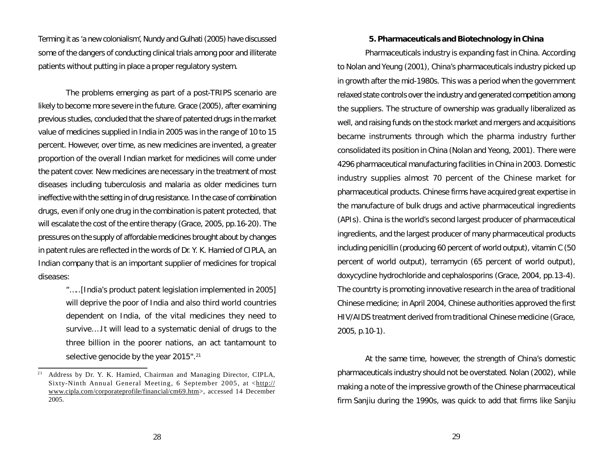Terming it as 'a new colonialism', Nundy and Gulhati (2005) have discussed some of the dangers of conducting clinical trials among poor and illiterate patients without putting in place a proper regulatory system.

The problems emerging as part of a post-TRIPS scenario are likely to become more severe in the future. Grace (2005), after examining previous studies, concluded that the share of patented drugs in the market value of medicines supplied in India in 2005 was in the range of 10 to 15 percent. However, over time, as new medicines are invented, a greater proportion of the overall Indian market for medicines will come under the patent cover. New medicines are necessary in the treatment of most diseases including tuberculosis and malaria as older medicines turn ineffective with the setting in of drug resistance. In the case of combination drugs, even if only one drug in the combination is patent protected, that will escalate the cost of the entire therapy (Grace, 2005, pp.16-20). The pressures on the supply of affordable medicines brought about by changes in patent rules are reflected in the words of Dr. Y. K. Hamied of CIPLA, an Indian company that is an important supplier of medicines for tropical diseases:

> "…..[India's product patent legislation implemented in 2005] will deprive the poor of India and also third world countries dependent on India, of the vital medicines they need to survive.…It will lead to a systematic denial of drugs to the three billion in the poorer nations, an act tantamount to selective genocide by the year 2015".<sup>21</sup>

#### **5. Pharmaceuticals and Biotechnology in China**

Pharmaceuticals industry is expanding fast in China. According to Nolan and Yeung (2001), China's pharmaceuticals industry picked up in growth after the mid-1980s. This was a period when the government relaxed state controls over the industry and generated competition among the suppliers. The structure of ownership was gradually liberalized as well, and raising funds on the stock market and mergers and acquisitions became instruments through which the pharma industry further consolidated its position in China (Nolan and Yeong, 2001). There were 4296 pharmaceutical manufacturing facilities in China in 2003. Domestic industry supplies almost 70 percent of the Chinese market for pharmaceutical products. Chinese firms have acquired great expertise in the manufacture of bulk drugs and active pharmaceutical ingredients (APIs). China is the world's second largest producer of pharmaceutical ingredients, and the largest producer of many pharmaceutical products including penicillin (producing 60 percent of world output), vitamin C (50 percent of world output), terramycin (65 percent of world output), doxycycline hydrochloride and cephalosporins (Grace, 2004, pp.13-4). The countrty is promoting innovative research in the area of traditional Chinese medicine; in April 2004, Chinese authorities approved the first HIV/AIDS treatment derived from traditional Chinese medicine (Grace, 2005, p.10-1).

At the same time, however, the strength of China's domestic pharmaceuticals industry should not be overstated. Nolan (2002), while making a note of the impressive growth of the Chinese pharmaceutical firm Sanjiu during the 1990s, was quick to add that firms like Sanjiu

<sup>&</sup>lt;sup>21</sup> Address by Dr. Y. K. Hamied, Chairman and Managing Director, CIPLA, Sixty-Ninth Annual General Meeting, 6 September 2005, at <http:// www.cipla.com/corporateprofile/financial/cm69.htm>, accessed 14 December 2005.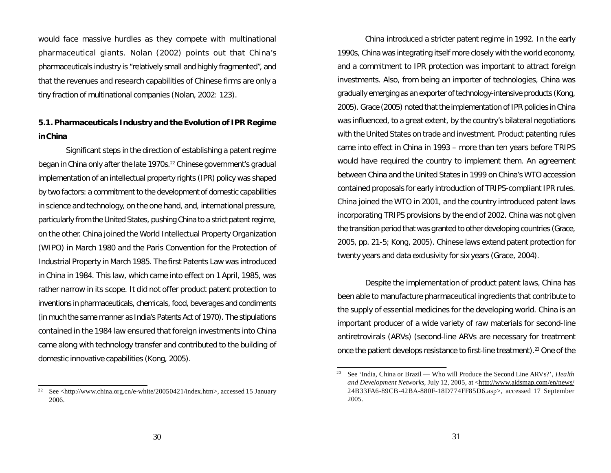would face massive hurdles as they compete with multinational pharmaceutical giants. Nolan (2002) points out that China's pharmaceuticals industry is "relatively small and highly fragmented", and that the revenues and research capabilities of Chinese firms are only a tiny fraction of multinational companies (Nolan, 2002: 123).

# **5.1. Pharmaceuticals Industry and the Evolution of IPR Regime inChina**

Significant steps in the direction of establishing a patent regime began in China only after the late 1970s. <sup>22</sup> Chinese government's gradual implementation of an intellectual property rights (IPR) policy was shaped by two factors: a commitment to the development of domestic capabilities in science and technology, on the one hand, and, international pressure, particularly from the United States, pushing China to a strict patent regime, on the other. China joined the World Intellectual Property Organization (WIPO) in March 1980 and the Paris Convention for the Protection of Industrial Property in March 1985. The first Patents Law was introduced in China in 1984. This law, which came into effect on 1 April, 1985, was rather narrow in its scope. It did not offer product patent protection to inventions in pharmaceuticals, chemicals, food, beverages and condiments (in much the same manner as India's Patents Act of 1970). The stipulations contained in the 1984 law ensured that foreign investments into China came along with technology transfer and contributed to the building of domestic innovative capabilities (Kong, 2005).

China introduced a stricter patent regime in 1992. In the early 1990s, China was integrating itself more closely with the world economy, and a commitment to IPR protection was important to attract foreign investments. Also, from being an importer of technologies, China was gradually emerging as an exporter of technology-intensive products (Kong, 2005). Grace (2005) noted that the implementation of IPR policies in China was influenced, to a great extent, by the country's bilateral negotiations with the United States on trade and investment. Product patenting rules came into effect in China in 1993 – more than ten years before TRIPS would have required the country to implement them. An agreement between China and the United States in 1999 on China's WTO accession contained proposals for early introduction of TRIPS-compliant IPR rules. China joined the WTO in 2001, and the country introduced patent laws incorporating TRIPS provisions by the end of 2002. China was not given the transition period that was granted to other developing countries (Grace, 2005, pp. 21-5; Kong, 2005). Chinese laws extend patent protection for twenty years and data exclusivity for six years (Grace, 2004).

Despite the implementation of product patent laws, China has been able to manufacture pharmaceutical ingredients that contribute to the supply of essential medicines for the developing world. China is an important producer of a wide variety of raw materials for second-line antiretrovirals (ARVs) (second-line ARVs are necessary for treatment once the patient develops resistance to first-line treatment). <sup>23</sup> One of the

<sup>&</sup>lt;sup>22</sup> See <http://www.china.org.cn/e-white/20050421/index.htm>, accessed 15 January 2006.

<sup>&</sup>lt;sup>23</sup> See 'India, China or Brazil — Who will Produce the Second Line ARVs?', *Health and Development Networks, July 12, 2005, at <http://www.aidsmap.com/en/news/* 24B33FA6-89CB-42BA-880F-18D774FF85D6.asp>, accessed 17 September 2005.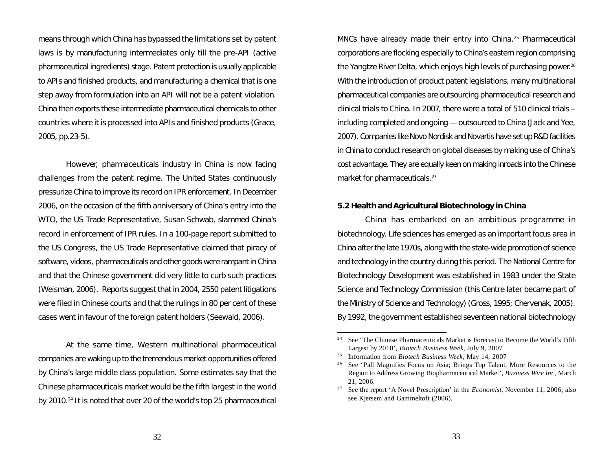means through which China has bypassed the limitations set by patent laws is by manufacturing intermediates only till the pre-API (active pharmaceutical ingredients) stage. Patent protection is usually applicable to APIs and finished products, and manufacturing a chemical that is one step away from formulation into an API will not be a patent violation. China then exports these intermediate pharmaceutical chemicals to other countries where it is processed into APIs and finished products (Grace, 2005, pp.23-5).

However, pharmaceuticals industry in China is now facing challenges from the patent regime. The United States continuously pressurize China to improve its record on IPR enforcement. In December 2006, on the occasion of the fifth anniversary of China's entry into the WTO, the US Trade Representative, Susan Schwab, slammed China's record in enforcement of IPR rules. In a 100-page report submitted to the US Congress, the US Trade Representative claimed that piracy of software, videos, pharmaceuticals and other goods were rampant in China and that the Chinese government did very little to curb such practices (Weisman, 2006). Reports suggest that in 2004, 2550 patent litigations were filed in Chinese courts and that the rulings in 80 per cent of these cases went in favour of the foreign patent holders (Seewald, 2006).

At the same time, Western multinational pharmaceutical companies are waking up to the tremendous market opportunities offered by China's large middle class population. Some estimates say that the Chinese pharmaceuticals market would be the fifth largest in the world by 2010. 24 It is noted that over 20 of the world's top 25 pharmaceutical

MNCs have already made their entry into China. <sup>25</sup> Pharmaceutical corporations are flocking especially to China's eastern region comprising the Yangtze River Delta, which enjoys high levels of purchasing power. 26 With the introduction of product patent legislations, many multinational pharmaceutical companies are outsourcing pharmaceutical research and clinical trials to China. In 2007, there were a total of 510 clinical trials – including completed and ongoing — outsourced to China (Jack and Yee, 2007). Companies like Novo Nordisk and Novartis have set up R&D facilities in China to conduct research on global diseases by making use of China's cost advantage. They are equally keen on making inroads into the Chinese market for pharmaceuticals.<sup>27</sup>

#### **5.2 Health andAgricultural Biotechnology in China**

China has embarked on an ambitious programme in biotechnology. Life sciences has emerged as an important focus area in China after the late 1970s, along with the state-wide promotion of science and technology in the country during this period. The National Centre for Biotechnology Development was established in 1983 under the State Science and Technology Commission (this Centre later became part of the Ministry of Science and Technology) (Gross, 1995; Chervenak, 2005). By 1992, the government established seventeen national biotechnology

<sup>&</sup>lt;sup>24</sup> See 'The Chinese Pharmaceuticals Market is Forecast to Become the World's Fifth Largest by 2010', *Biotech Business Week*, July 9, 2007

<sup>2</sup> 5 Information from *Biotech Business Week*, May 14, 2007

See 'Pall Magnifies Focus on Asia; Brings Top Talent, More Resources to the Region to Address Growing Biopharmaceutical Market', *Business Wire Inc*, March 21, 2006.

<sup>2</sup> <sup>7</sup> See the report 'A Novel Prescription' in the *Economist*, November 11, 2006; also see Kjersem and Gammeltoft (2006).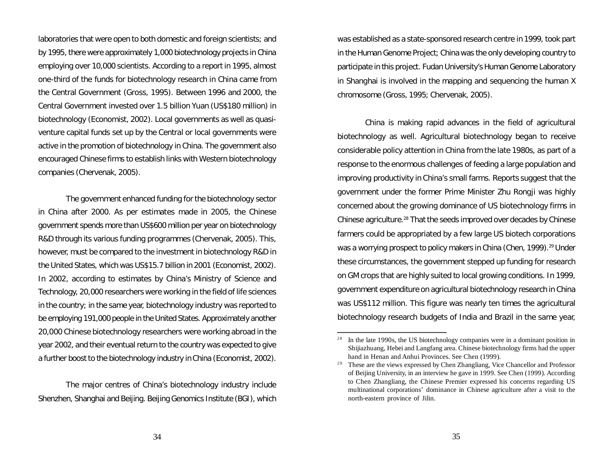laboratories that were open to both domestic and foreign scientists; and by 1995, there were approximately 1,000 biotechnology projects in China employing over 10,000 scientists. According to a report in 1995, almost one-third of the funds for biotechnology research in China came from the Central Government (Gross, 1995). Between 1996 and 2000, the Central Government invested over 1.5 billion Yuan (US\$180 million) in biotechnology (Economist, 2002). Local governments as well as quasiventure capital funds set up by the Central or local governments were active in the promotion of biotechnology in China. The government also encouraged Chinese firms to establish links with Western biotechnology companies (Chervenak, 2005).

The government enhanced funding for the biotechnology sector in China after 2000. As per estimates made in 2005, the Chinese government spends more than US\$600 million per year on biotechnology R&D through its various funding programmes (Chervenak, 2005). This, however, must be compared to the investment in biotechnology R&D in the United States, which was US\$15.7 billion in 2001 (Economist, 2002). In 2002, according to estimates by China's Ministry of Science and Technology, 20,000 researchers were working in the field of life sciences in the country; in the same year, biotechnology industry was reported to be employing 191,000 people in the United States. Approximately another 20,000 Chinese biotechnology researchers were working abroad in the year 2002, and their eventual return to the country was expected to give a further boost to the biotechnology industry in China (Economist, 2002).

The major centres of China's biotechnology industry include Shenzhen, Shanghai and Beijing. Beijing Genomics Institute (BGI), which was established as a state-sponsored research centre in 1999, took part in the Human Genome Project; China was the only developing country to participate in this project. Fudan University's Human Genome Laboratory in Shanghai is involved in the mapping and sequencing the human X chromosome (Gross, 1995; Chervenak, 2005).

China is making rapid advances in the field of agricultural biotechnology as well. Agricultural biotechnology began to receive considerable policy attention in China from the late 1980s, as part of a response to the enormous challenges of feeding a large population and improving productivity in China's small farms. Reports suggest that the government under the former Prime Minister Zhu Rongji was highly concerned about the growing dominance of US biotechnology firms in Chinese agriculture.<sup>28</sup> That the seeds improved over decades by Chinese farmers could be appropriated by a few large US biotech corporations was a worrying prospect to policy makers in China (Chen, 1999). <sup>29</sup> Under these circumstances, the government stepped up funding for research on GM crops that are highly suited to local growing conditions. In 1999, government expenditure on agricultural biotechnology research in China was US\$112 million. This figure was nearly ten times the agricultural biotechnology research budgets of India and Brazil in the same year,

<sup>2</sup> 8 In the late 1990s, the US biotechnology companies were in a dominant position in Shijiazhuang, Hebei and Langfang area. Chinese biotechnology firms had the upper hand in Henan and Anhui Provinces. See Chen (1999).

These are the views expressed by Chen Zhangliang, Vice Chancellor and Professor of Beijing University, in an interview he gave in 1999. See Chen (1999). According to Chen Zhangliang, the Chinese Premier expressed his concerns regarding US multinational corporations' dominance in Chinese agriculture after a visit to the north-eastern province of Jilin.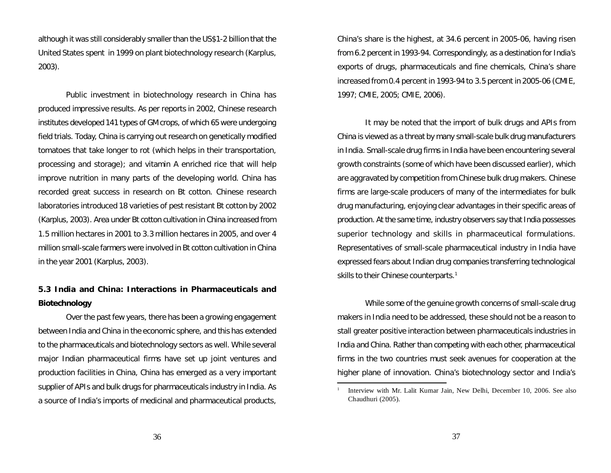although it was still considerably smaller than the US\$1-2 billion that the United States spent in 1999 on plant biotechnology research (Karplus, 2003).

Public investment in biotechnology research in China has produced impressive results. As per reports in 2002, Chinese research institutes developed 141 types of GM crops, of which 65 were undergoing field trials. Today, China is carrying out research on genetically modified tomatoes that take longer to rot (which helps in their transportation, processing and storage); and vitamin A enriched rice that will help improve nutrition in many parts of the developing world. China has recorded great success in research on *Bt* cotton. Chinese research laboratories introduced 18 varieties of pest resistant *Bt* cotton by 2002 (Karplus, 2003). Area under *Bt* cotton cultivation in China increased from 1.5 million hectares in 2001 to 3.3 million hectares in 2005, and over 4 million small-scale farmers were involved in *Bt* cotton cultivation in China in the year 2001 (Karplus, 2003).

## **5.3 India and China: Interactions in Pharmaceuticals and Biotechnology**

Over the past few years, there has been a growing engagement between India and China in the economic sphere, and this has extended to the pharmaceuticals and biotechnology sectors as well. While several major Indian pharmaceutical firms have set up joint ventures and production facilities in China, China has emerged as a very important supplier of APIs and bulk drugs for pharmaceuticals industry in India. As a source of India's imports of medicinal and pharmaceutical products,

China's share is the highest, at 34.6 percent in 2005-06, having risen from 6.2 percent in 1993-94. Correspondingly, as a destination for India's exports of drugs, pharmaceuticals and fine chemicals, China's share increased from 0.4 percent in 1993-94 to 3.5 percent in 2005-06 (CMIE, 1997; CMIE, 2005; CMIE, 2006).

It may be noted that the import of bulk drugs and APIs from China is viewed as a threat by many small-scale bulk drug manufacturers in India. Small-scale drug firms in India have been encountering several growth constraints (some of which have been discussed earlier), which are aggravated by competition from Chinese bulk drug makers. Chinese firms are large-scale producers of many of the intermediates for bulk drug manufacturing, enjoying clear advantages in their specific areas of production. At the same time, industry observers say that India possesses superior technology and skills in pharmaceutical formulations. Representatives of small-scale pharmaceutical industry in India have expressed fears about Indian drug companies transferring technological skills to their Chinese counterparts. 1

While some of the genuine growth concerns of small-scale drug makers in India need to be addressed, these should not be a reason to stall greater positive interaction between pharmaceuticals industries in India and China. Rather than competing with each other, pharmaceutical firms in the two countries must seek avenues for cooperation at the higher plane of innovation. China's biotechnology sector and India's

1

Interview with Mr. Lalit Kumar Jain, New Delhi, December 10, 2006. See also Chaudhuri (2005).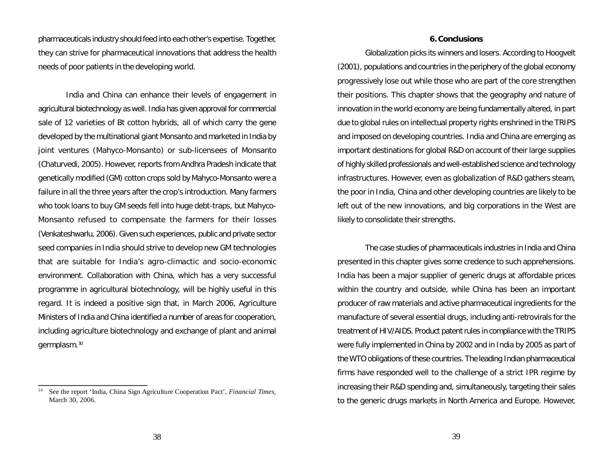pharmaceuticals industry should feed into each other's expertise. Together, they can strive for pharmaceutical innovations that address the health needs of poor patients in the developing world.

India and China can enhance their levels of engagement in agricultural biotechnology as well. India has given approval for commercial sale of 12 varieties of *Bt* cotton hybrids, all of which carry the gene developed by the multinational giant Monsanto and marketed in India by joint ventures (Mahyco-Monsanto) or sub-licensees of Monsanto (Chaturvedi, 2005). However, reports from Andhra Pradesh indicate that genetically modified (GM) cotton crops sold by Mahyco-Monsanto were a failure in all the three years after the crop's introduction. Many farmers who took loans to buy GM seeds fell into huge debt-traps, but Mahyco-Monsanto refused to compensate the farmers for their losses (Venkateshwarlu, 2006). Given such experiences, public and private sector seed companies in India should strive to develop new GM technologies that are suitable for India's agro-climactic and socio-economic environment. Collaboration with China, which has a very successful programme in agricultural biotechnology, will be highly useful in this regard. It is indeed a positive sign that, in March 2006, Agriculture Ministers of India and China identified a number of areas for cooperation, including agriculture biotechnology and exchange of plant and animal germplasm. 30

#### **6.Conclusions**

Globalization picks its winners and losers. According to Hoogvelt (2001), populations and countries in the periphery of the global economy progressively lose out while those who are part of the core strengthen their positions. This chapter shows that the geography and nature of innovation in the world economy are being fundamentally altered, in part due to global rules on intellectual property rights enshrined in the TRIPS and imposed on developing countries. India and China are emerging as important destinations for global R&D on account of their large supplies of highly skilled professionals and well-established science and technology infrastructures. However, even as globalization of R&D gathers steam, the poor in India, China and other developing countries are likely to be left out of the new innovations, and big corporations in the West are likely to consolidate their strengths.

The case studies of pharmaceuticals industries in India and China presented in this chapter gives some credence to such apprehensions. India has been a major supplier of generic drugs at affordable prices within the country and outside, while China has been an important producer of raw materials and active pharmaceutical ingredients for the manufacture of several essential drugs, including anti-retrovirals for the treatment of HIV/AIDS. Product patent rules in compliance with the TRIPS were fully implemented in China by 2002 and in India by 2005 as part of the WTO obligations of these countries. The leading Indian pharmaceutical firms have responded well to the challenge of a strict IPR regime by increasing their R&D spending and, simultaneously, targeting their sales to the generic drugs markets in North America and Europe. However,

<sup>3</sup> <sup>0</sup> See the report 'India, China Sign Agriculture Cooperation Pact', *Financial Times*, March 30, 2006.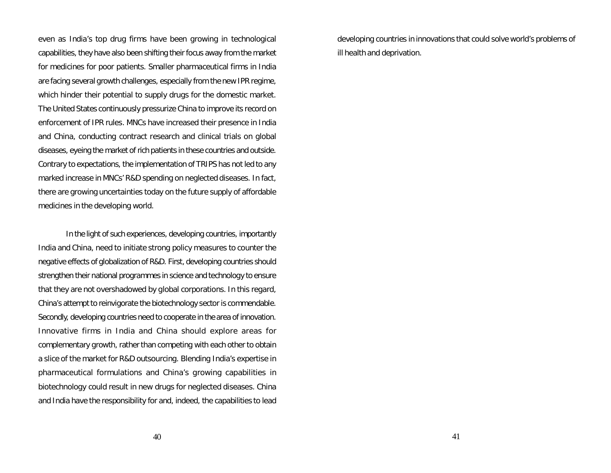even as India's top drug firms have been growing in technological capabilities, they have also been shifting their focus away from the market for medicines for poor patients. Smaller pharmaceutical firms in India are facing several growth challenges, especially from the new IPR regime, which hinder their potential to supply drugs for the domestic market. The United States continuously pressurize China to improve its record on enforcement of IPR rules. MNCs have increased their presence in India and China, conducting contract research and clinical trials on global diseases, eyeing the market of rich patients in these countries and outside. Contrary to expectations, the implementation of TRIPS has not led to any marked increase in MNCs' R&D spending on neglected diseases. In fact, there are growing uncertainties today on the future supply of affordable medicines in the developing world.

In the light of such experiences, developing countries, importantly India and China, need to initiate strong policy measures to counter the negative effects of globalization of R&D. First, developing countries should strengthen their national programmes in science and technology to ensure that they are not overshadowed by global corporations. In this regard, China's attempt to reinvigorate the biotechnology sector is commendable. Secondly, developing countries need to cooperate in the area of innovation. Innovative firms in India and China should explore areas for complementary growth, rather than competing with each other to obtain a slice of the market for R&D outsourcing. Blending India's expertise in pharmaceutical formulations and China's growing capabilities in biotechnology could result in new drugs for neglected diseases. China and India have the responsibility for and, indeed, the capabilities to lead developing countries in innovations that could solve world's problems of ill health and deprivation.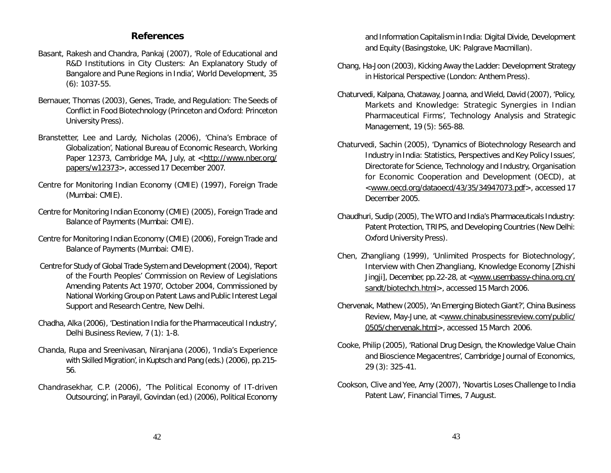### **References**

- Basant, Rakesh and Chandra, Pankaj (2007), 'Role of Educational and R&D Institutions in City Clusters: An Explanatory Study of Bangalore and Pune Regions in India', *World Development*, 35 (6): 1037-55.
- Bernauer, Thomas (2003), *Genes, Trade, and Regulation: The Seeds of Conflict in Food Biotechnology* (Princeton and Oxford: Princeton University Press).
- Branstetter, Lee and Lardy, Nicholas (2006), 'China's Embrace of Globalization', National Bureau of Economic Research, Working Paper 12373, Cambridge MA, July, at <http://www.nber.org/ papers/w12373>, accessed 17 December 2007.
- Centre for Monitoring Indian Economy (CMIE) (1997), *Foreign Trade* (Mumbai: CMIE).
- Centre for Monitoring Indian Economy (CMIE) (2005), *Foreign Trade and Balance of Payments* (Mumbai: CMIE).
- Centre for Monitoring Indian Economy (CMIE) (2006), *Foreign Trade and Balance of Payments* (Mumbai: CMIE).
- Centre for Study of Global Trade System and Development(2004), 'Report of the Fourth Peoples' Commission on Review of Legislations Amending Patents Act 1970', October 2004, Commissioned by National Working Group on Patent Laws and Public Interest Legal Support and Research Centre, New Delhi.
- Chadha, Alka (2006), 'Destination India for the Pharmaceutical Industry', *Delhi Business Review*, 7 (1): 1-8.
- Chanda, Rupa and Sreenivasan, Niranjana (2006), 'India's Experience with Skilled Migration', in Kuptsch and Pang (eds.)(2006), pp.215- 56.
- Chandrasekhar, C.P. (2006), 'The Political Economy of IT-driven Outsourcing', in Parayil, Govindan (ed.) (2006), *Political Economy*

*and Information Capitalism in India: Digital Divide, Development and Equity* (Basingstoke, UK: Palgrave Macmillan).

- Chang, Ha-Joon (2003), *Kicking Away the Ladder: Development Strategy in Historical Perspective* (London: Anthem Press).
- Chaturvedi, Kalpana, Chataway, Joanna, and Wield, David (2007), 'Policy, Markets and Knowledge: Strategic Synergies in Indian Pharmaceutical Firms', *Technology Analysis and Strategic Management*, 19 (5): 565-88.
- Chaturvedi, Sachin (2005), 'Dynamics of Biotechnology Research and Industry in India: Statistics, Perspectives and Key Policy Issues', Directorate for Science, Technology and Industry, Organisation for Economic Cooperation and Development (OECD), at <www.oecd.org/dataoecd/43/35/34947073.pdf>, accessed 17 December 2005.
- Chaudhuri, Sudip (2005), *The WTO and India's Pharmaceuticals Industry: Patent Protection, TRIPS, and Developing Countries* (New Delhi: Oxford University Press).
- Chen, Zhangliang (1999), 'Unlimited Prospects for Biotechnology', Interview with Chen Zhangliang, *Knowledge Economy* [*Zhishi Jingji*], December, pp.22-28, at <www.usembassy-china.org.cn/ sandt/biotechch.html>, accessed 15 March 2006.
- Chervenak, Mathew (2005), 'An Emerging Biotech Giant?', *China Business Review*, May-June, at <www.chinabusinessreview.com/public/ 0505/chervenak.html>, accessed 15 March 2006.
- Cooke, Philip (2005), 'Rational Drug Design, the Knowledge Value Chain and Bioscience Megacentres', *Cambridge Journal of Economics*, 29 (3): 325-41.
- Cookson, Clive and Yee, Amy (2007), 'Novartis Loses Challenge to India Patent Law', *Financial Times*, 7 August.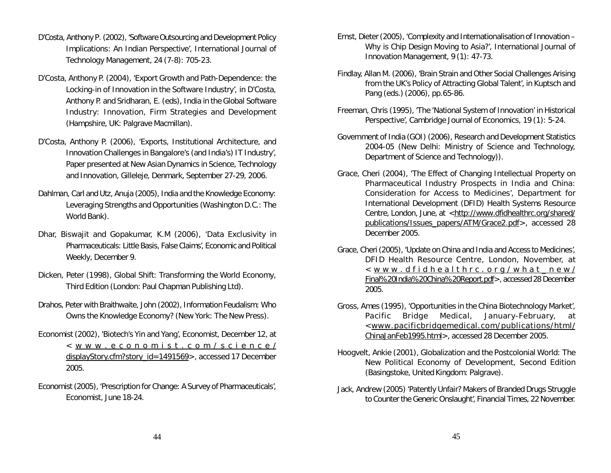- D'Costa, Anthony P. (2002), 'Software Outsourcing and Development Policy Implications: An Indian Perspective', *International Journal of Technology Management*, 24 (7-8): 705-23.
- D'Costa, Anthony P. (2004), 'Export Growth and Path-Dependence: the Locking-in of Innovation in the Software Industry', in D'Costa, Anthony P. and Sridharan, E. (eds), *India in the Global Software Industry: Innovation, Firm Strategies and Development* (Hampshire, UK: Palgrave Macmillan).
- D'Costa, Anthony P. (2006), 'Exports, Institutional Architecture, and Innovation Challenges in Bangalore's (and India's) IT Industry', Paper presented at *New Asian Dynamics in Science, Technology and Innovation*, Gilleleje, Denmark, September 27-29, 2006.
- Dahlman, Carl and Utz, Anuja (2005), *India and the Knowledge Economy: Leveraging Strengths and Opportunities* (Washington D.C.: The World Bank).
- Dhar, Biswajit and Gopakumar, K.M (2006), 'Data Exclusivity in Pharmaceuticals: Little Basis, False Claims', *Economic and Political Weekly*, December 9.
- Dicken, Peter (1998), *Global Shift: Transforming the World Economy*, Third Edition (London: Paul Chapman Publishing Ltd).
- Drahos, Peter with Braithwaite, John (2002), *Information Feudalism: Who Owns the Knowledge Economy?* (New York: The New Press).
- Economist (2002), 'Biotech's Yin and Yang', *Economist*, December 12, at < w w w . e c o n o m i s t . c o m / s c i e n c e / displayStory.cfm?story\_id=1491569>, accessed 17 December 2005.
- Economist (2005), 'Prescription for Change: A Survey of Pharmaceuticals', *Economist*, June 18-24.
- Ernst, Dieter(2005), 'Complexity and Internationalisation of Innovation Why is Chip Design Moving to Asia?', *International Journal of Innovation Management,* 9 (1): 47-73.
- Findlay, Allan M. (2006), 'Brain Strain and Other Social Challenges Arising from the UK's Policy of Attracting Global Talent', in Kuptsch and Pang (eds.) (2006), pp.65-86.
- Freeman, Chris (1995), 'The 'National System of Innovation' in Historical Perspective', *Cambridge Journal of Economics*, 19 (1): 5-24.
- Government of India (GOI) (2006), *Research and Development Statistics 2004-05* (New Delhi: Ministry of Science and Technology, Department of Science and Technology)).
- Grace, Cheri (2004), 'The Effect of Changing Intellectual Property on Pharmaceutical Industry Prospects in India and China: Consideration for Access to Medicines', Department for International Development (DFID) Health Systems Resource Centre, London, June, at <http://www.dfidhealthrc.org/shared/ publications/Issues\_papers/ATM/Grace2.pdf>, accessed 28 December 2005.
- Grace, Cheri (2005), 'Update on China and India and Access to Medicines', DFID Health Resource Centre, London, November, at  $<$  w w w . d f i d h e althrc . or q / w h a t \_ n e w / Final%20India%20China%20Report.pdf>, accessed 28 December 2005.
- Gross, Ames (1995), 'Opportunities in the China Biotechnology Market', *Pacific Bridge Medical*, January-February, at <www.pacificbridgemedical.com/publications/html/ ChinaJanFeb1995.html>, accessed 28 December 2005.
- Hoogvelt, Ankie (2001), *Globalization and the Postcolonial World: The New Political Economy of Development*, Second Edition (Basingstoke, United Kingdom: Palgrave).
- Jack, Andrew (2005) 'Patently Unfair? Makers of Branded Drugs Struggle to Counter the Generic Onslaught', *Financial Times*, 22 November.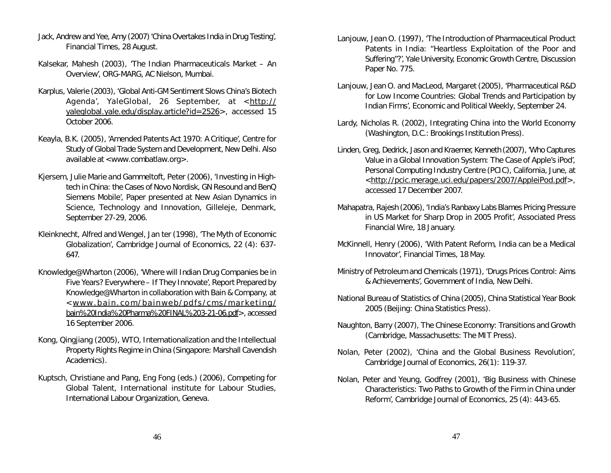- Jack, Andrew and Yee, Amy (2007)'China Overtakes India inDrug Testing', *Financial Times*, 28 August.
- Kalsekar, Mahesh (2003), 'The Indian Pharmaceuticals Market An Overview', ORG-MARG, AC Nielson, Mumbai.
- Karplus, Valerie (2003), 'Global Anti-GM Sentiment Slows China's Biotech Agenda', *YaleGlobal*, 26 September, at <http:// yaleglobal.yale.edu/display.article?id=2526>, accessed 15 October 2006.
- Keayla, B.K. (2005), 'Amended Patents Act 1970: A Critique', Centre for Study of Global Trade System and Development, New Delhi. Also available at <www.combatlaw.org>.
- Kjersem, Julie Marie and Gammeltoft, Peter (2006), 'Investing in Hightech in China: the Cases of Novo Nordisk, GN Resound and BenQ Siemens Mobile', Paper presented at *New Asian Dynamics in Science, Technology and Innovation*, Gilleleje, Denmark, September 27-29, 2006.
- Kleinknecht, Alfred and Wengel, Jan ter (1998), 'The Myth of Economic Globalization', *Cambridge Journal of Economics*, 22 (4): 637- 647.
- Knowledge@Wharton (2006), 'Where will Indian Drug Companies be in Five Years? Everywhere – If They Innovate', Report Prepared by Knowledge@Wharton in collaboration with Bain & Company, at < www.bain.com/bainweb/pdfs/cms/marketing/ bain%20India%20Pharma%20FINAL%203-21-06.pdf>, accessed 16 September 2006.
- Kong, Qingjiang (2005), *WTO, Internationalization and the Intellectual Property Rights Regime in China* (Singapore: Marshall Cavendish Academics).
- Kuptsch, Christiane and Pang, Eng Fong (eds.) (2006), *Competing for Global Talent*, International institute for Labour Studies, International Labour Organization, Geneva.
- Lanjouw, Jean O. (1997), 'The Introduction of Pharmaceutical Product Patents in India: "Heartless Exploitation of the Poor and Suffering"?', Yale University, Economic Growth Centre, Discussion Paper No. 775.
- Lanjouw, Jean O. and MacLeod, Margaret (2005), 'Pharmaceutical R&D for Low Income Countries: Global Trends and Participation by Indian Firms', *Economic and Political Weekly*, September 24.
- Lardy, Nicholas R. (2002), *Integrating China into the World Economy* (Washington, D.C.: Brookings Institution Press).
- Linden, Greg, Dedrick, Jason and Kraemer, Kenneth (2007), 'Who Captures Value in a Global Innovation System: The Case of Apple's iPod', Personal Computing Industry Centre (PCIC), California, June, at <http://pcic.merage.uci.edu/papers/2007/AppleiPod.pdf>, accessed 17 December 2007.
- Mahapatra, Rajesh (2006), 'India's Ranbaxy Labs Blames Pricing Pressure in US Market for Sharp Drop in 2005 Profit', Associated Press Financial Wire, 18 January.
- McKinnell, Henry (2006), 'With Patent Reform, India can be a Medical Innovator', *Financial Times*, 18 May.
- Ministry of Petroleum and Chemicals (1971), 'Drugs Prices Control: Aims & Achievements', Government of India, New Delhi.
- National Bureau of Statistics of China (2005), *China Statistical Year Book 2005* (Beijing: China Statistics Press).
- Naughton, Barry (2007), *The Chinese Economy: Transitions and Growth* (Cambridge, Massachusetts: The MIT Press).
- Nolan, Peter (2002), 'China and the Global Business Revolution', *Cambridge Journal of Economics*, 26(1): 119-37.
- Nolan, Peter and Yeung, Godfrey (2001), 'Big Business with Chinese Characteristics: Two Paths to Growth of the Firm in China under Reform', *Cambridge Journal of Economics*, 25 (4): 443-65.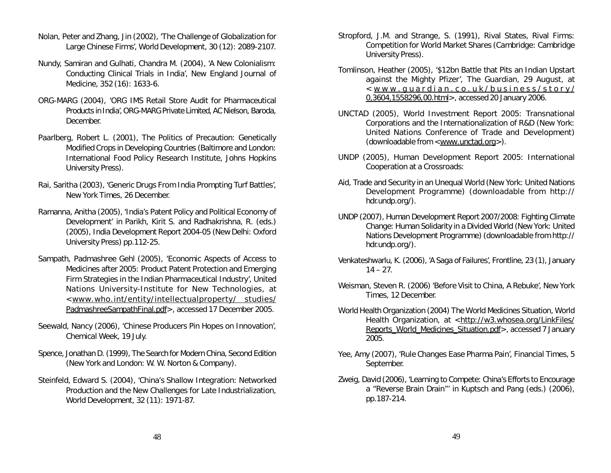- Nolan, Peter and Zhang, Jin (2002), 'The Challenge of Globalization for Large Chinese Firms', *World Development*, 30 (12): 2089-2107.
- Nundy, Samiran and Gulhati, Chandra M. (2004), 'A New Colonialism: Conducting Clinical Trials in India', *New England Journal of Medicine,* 352 (16): 1633-6.
- ORG-MARG (2004), 'ORG IMS Retail Store Audit for Pharmaceutical Products in India', ORG-MARG Private Limited, AC Nielson, Baroda, December.
- Paarlberg, Robert L. (2001), *The Politics of Precaution: Genetically Modified Crops in Developing Countries* (Baltimore and London: International Food Policy Research Institute, Johns Hopkins University Press).
- Rai, Saritha (2003), 'Generic Drugs From India Prompting Turf Battles', *New York Times*, 26 December.
- Ramanna, Anitha (2005), 'India's Patent Policy and Political Economy of Development' in Parikh, Kirit S. and Radhakrishna, R. (eds.) (2005), *India Development Report 2004-05* (New Delhi: Oxford University Press) pp.112-25.
- Sampath, Padmashree Gehl (2005), 'Economic Aspects of Access to Medicines after 2005: Product Patent Protection and Emerging Firm Strategies in the Indian Pharmaceutical Industry', United Nations University-Institute for New Technologies, at <www.who.int/entity/intellectualproperty/ studies/ PadmashreeSampathFinal.pdf>, accessed 17 December 2005.
- Seewald, Nancy (2006), 'Chinese Producers Pin Hopes on Innovation', *Chemical Week*, 19 July.
- Spence, Jonathan D. (1999), *The Search for Modern China*, Second Edition (New York and London: W. W. Norton & Company).
- Steinfeld, Edward S. (2004), 'China's Shallow Integration: Networked Production and the New Challenges for Late Industrialization, *World Development*, 32 (11): 1971-87.
- Stropford, J.M. and Strange, S. (1991), *Rival States, Rival Firms: Competition for World Market Shares* (Cambridge: Cambridge University Press).
- Tomlinson, Heather (2005), '\$12bn Battle that Pits an Indian Upstart against the Mighty Pfizer', *The Guardian*, 29 August, at  $\langle$  www.quardian.co.uk/business/story/ 0,3604,1558296,00.html>, accessed 20 January 2006.
- UNCTAD (2005), *World Investment Report 2005: Transnational Corporations and the Internationalization of R&D* (New York: United Nations Conference of Trade and Development) (downloadable from <www.unctad.org>).
- UNDP (2005), *Human Development Report 2005: International Cooperation at a Crossroads:*
- *Aid, Trade and Security in an Unequal World* (New York: United Nations Development Programme) (downloadable from http:// hdr.undp.org/).
- UNDP (2007), *Human Development Report 2007/2008: Fighting Climate Change: Human Solidarity in a Divided World* (New York: United Nations Development Programme) (downloadable from http:// hdr.undp.org/).
- Venkateshwarlu, K. (2006), 'A Saga of Failures', *Frontline*, 23 (1), January  $14 - 27$
- Weisman, Steven R. (2006) 'Before Visit to China, A Rebuke', *New York Times*, 12 December.
- World Health Organization (2004) *The World Medicines Situation*, World Health Organization, at <http://w3.whosea.org/LinkFiles/ Reports\_World\_Medicines\_Situation.pdf>, accessed 7 January 2005.
- Yee, Amy (2007), 'Rule Changes Ease Pharma Pain', *Financial Times*, 5 September.
- Zweig, David (2006), 'Learning to Compete: China's Efforts to Encourage a "Reverse Brain Drain"' in Kuptsch and Pang (eds.) (2006), pp.187-214.